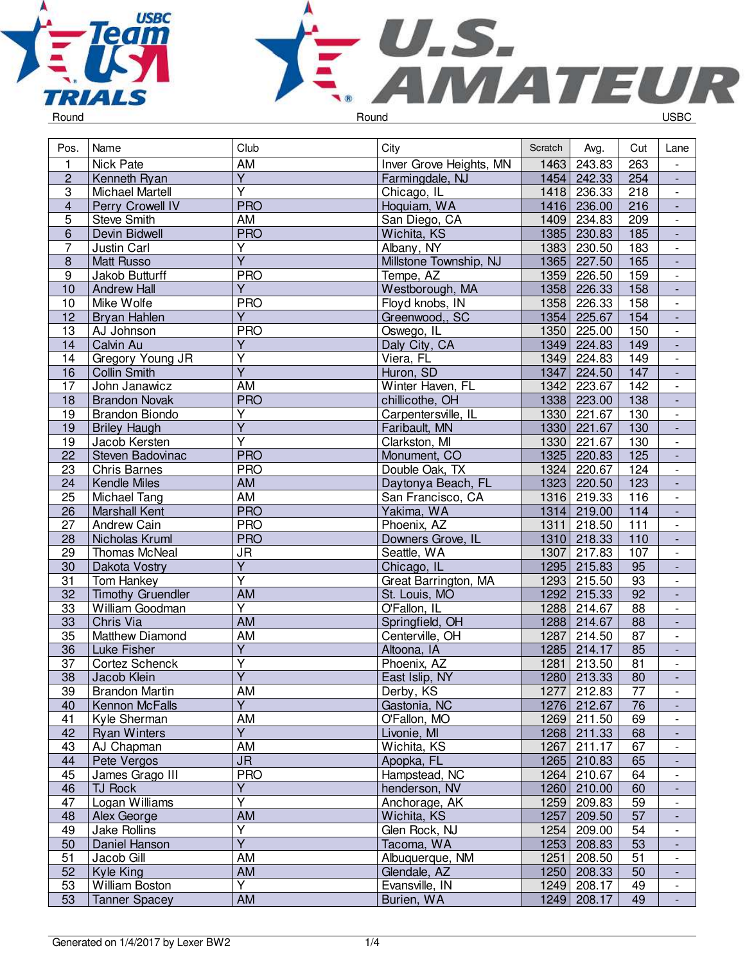



 $\overline{\phantom{a}}$ 

| Pos.                    | Name                     | Club                                      | City                    | Scratch | Avg.        | Cut             | Lane                     |
|-------------------------|--------------------------|-------------------------------------------|-------------------------|---------|-------------|-----------------|--------------------------|
| $\mathbf{1}$            | <b>Nick Pate</b>         | <b>AM</b>                                 | Inver Grove Heights, MN | 1463    | 243.83      | 263             | $\overline{\phantom{a}}$ |
| $\overline{2}$          | Kenneth Ryan             | $\overline{Y}$                            | Farmingdale, NJ         |         | 1454 242.33 | 254             | $\blacksquare$           |
| $\overline{3}$          | Michael Martell          | $\overline{\mathsf{Y}}$                   | Chicago, IL             | 1418    | 236.33      | 218             | $\overline{\phantom{a}}$ |
| $\overline{\mathbf{4}}$ | Perry Crowell IV         | <b>PRO</b>                                | Hoquiam, WA             | 1416    | 236.00      | 216             | $\overline{\phantom{a}}$ |
| $\overline{5}$          | Steve Smith              | AM                                        | San Diego, CA           | 1409    | 234.83      | 209             | $\overline{\phantom{a}}$ |
| $\overline{6}$          | Devin Bidwell            | <b>PRO</b>                                | Wichita, KS             | 1385    | 230.83      | 185             | $\overline{\phantom{a}}$ |
| $\overline{7}$          | Justin Carl              | $\overline{Y}$                            | Albany, NY              | 1383    | 230.50      | 183             | $\overline{\phantom{a}}$ |
| $\overline{8}$          | <b>Matt Russo</b>        | $\overline{Y}$                            | Millstone Township, NJ  |         | 1365 227.50 | 165             | $\overline{\phantom{a}}$ |
| 9                       | Jakob Butturff           | <b>PRO</b>                                | Tempe, AZ               |         | 1359 226.50 | 159             | $\overline{\phantom{a}}$ |
| 10                      | <b>Andrew Hall</b>       | $\overline{Y}$                            | Westborough, MA         |         | 1358 226.33 | 158             | $\blacksquare$           |
| 10                      | Mike Wolfe               | <b>PRO</b>                                | Floyd knobs, IN         |         | 1358 226.33 | 158             | $\overline{\phantom{a}}$ |
| 12                      | Bryan Hahlen             | $\overline{Y}$                            | Greenwood,, SC          |         | 1354 225.67 | 154             | $\blacksquare$           |
| 13                      | AJ Johnson               | <b>PRO</b>                                | Oswego, IL              |         | 1350 225.00 | 150             | $\overline{\phantom{a}}$ |
| 14                      | Calvin Au                | Υ                                         | Daly City, CA           |         | 1349 224.83 | 149             | $\overline{\phantom{a}}$ |
| 14                      | Gregory Young JR         | $\overline{\mathsf{Y}}$                   | Viera, FL               |         | 1349 224.83 | 149             | $\overline{\phantom{a}}$ |
| 16                      | <b>Collin Smith</b>      | $\overline{Y}$                            | Huron, SD               | 1347    | 224.50      | 147             | $\overline{\phantom{a}}$ |
| 17                      | John Janawicz            | <b>AM</b>                                 | Winter Haven, FL        | 1342    | 223.67      | 142             | $\overline{\phantom{a}}$ |
| 18                      | <b>Brandon Novak</b>     | <b>PRO</b>                                | chillicothe, OH         |         | 1338 223.00 | 138             | $\overline{\phantom{a}}$ |
| 19                      | <b>Brandon Biondo</b>    | $\overline{Y}$                            | Carpentersville, IL     |         | 1330 221.67 | 130             | $\overline{\phantom{a}}$ |
| 19                      | <b>Briley Haugh</b>      | $\overline{Y}$                            | Faribault, MN           |         | 1330 221.67 | 130             | ÷,                       |
| 19                      | Jacob Kersten            | $\overline{Y}$                            | Clarkston, MI           |         | 1330 221.67 | 130             | $\overline{\phantom{a}}$ |
| 22                      | Steven Badovinac         | <b>PRO</b>                                | Monument, CO            |         | 1325 220.83 | 125             | $\blacksquare$           |
| 23                      | <b>Chris Barnes</b>      | <b>PRO</b>                                | Double Oak, TX          | 1324    | 220.67      | 124             | $\overline{\phantom{a}}$ |
| 24                      | Kendle Miles             | AM                                        | Daytonya Beach, FL      |         | 1323 220.50 | 123             | $\overline{\phantom{a}}$ |
| 25                      | Michael Tang             | AM                                        | San Francisco, CA       | 1316    | 219.33      | 116             | $\overline{\phantom{a}}$ |
| 26                      | <b>Marshall Kent</b>     | <b>PRO</b>                                | Yakima, WA              |         | 1314 219.00 | 114             |                          |
| 27                      | Andrew Cain              | <b>PRO</b>                                | Phoenix, AZ             |         | 1311 218.50 | 111             | $\overline{\phantom{a}}$ |
| 28                      | Nicholas Kruml           | <b>PRO</b>                                | Downers Grove, IL       |         | 1310 218.33 | 110             | $\overline{\phantom{a}}$ |
| 29                      | Thomas McNeal            | <b>JR</b>                                 | Seattle, WA             | 1307    | 217.83      | 107             | $\overline{\phantom{a}}$ |
| 30                      | Dakota Vostry            | Y                                         | Chicago, IL             |         | 1295 215.83 | 95              | $\blacksquare$           |
| 31                      | Tom Hankey               | $\overline{Y}$                            | Great Barrington, MA    |         | 1293 215.50 | 93              | $\blacksquare$           |
| 32                      | <b>Timothy Gruendler</b> | <b>AM</b>                                 | St. Louis, MO           |         | 1292 215.33 | 92              | $\blacksquare$           |
| 33                      | William Goodman          | $\overline{\mathsf{Y}}$                   | O'Fallon, IL            | 1288    | 214.67      | 88              | $\overline{\phantom{a}}$ |
| 33                      | Chris Via                | AM                                        | Springfield, OH         | 1288    | 214.67      | 88              | $\overline{\phantom{a}}$ |
| 35                      | Matthew Diamond          | AM                                        | Centerville, OH         | 1287    | 214.50      | 87              | $\overline{\phantom{a}}$ |
| 36                      | Luke Fisher              | $\overline{Y}$                            | Altoona, IA             |         | 1285 214.17 | 85              |                          |
| 37                      | <b>Cortez Schenck</b>    | $\overline{\mathsf{Y}}$                   | Phoenix, AZ             |         | 1281 213.50 | 81              | $\overline{\phantom{a}}$ |
| 38                      | Jacob Klein              | $\overline{Y}$                            | East Islip, NY          |         | 1280 213.33 | 80              | $\frac{1}{2}$            |
|                         | <b>Brandon Martin</b>    | <b>AM</b>                                 |                         |         | 1277 212.83 | $\overline{77}$ |                          |
| 39                      |                          | $\overline{Y}$                            | Derby, KS               |         |             | 76              |                          |
| 40                      | Kennon McFalls           |                                           | Gastonia, NC            |         | 1276 212.67 |                 |                          |
| 41<br>42                | Kyle Sherman             | AM<br>$\overline{Y}$                      | O'Fallon, MO            |         | 1269 211.50 | 69              | $\overline{\phantom{a}}$ |
|                         | <b>Ryan Winters</b>      |                                           | Livonie, MI             |         | 1268 211.33 | 68              | $\overline{\phantom{a}}$ |
| 43                      | AJ Chapman               | AM                                        | Wichita, KS             | 1267    | 211.17      | 67              | $\overline{\phantom{a}}$ |
| 44                      | Pete Vergos              | <b>JR</b>                                 | Apopka, FL              |         | 1265 210.83 | 65              | $\overline{\phantom{a}}$ |
| 45                      | James Grago III          | <b>PRO</b>                                | Hampstead, NC           |         | 1264 210.67 | 64              | $\overline{\phantom{a}}$ |
| 46                      | TJ Rock                  | $\overline{Y}$<br>$\overline{\mathsf{Y}}$ | henderson, NV           |         | 1260 210.00 | 60              |                          |
| 47                      | Logan Williams           |                                           | Anchorage, AK           |         | 1259 209.83 | 59              | $\overline{\phantom{a}}$ |
| 48                      | Alex George              | AM                                        | Wichita, KS             | 1257    | 209.50      | 57              |                          |
| 49                      | Jake Rollins             | $\overline{Y}$                            | Glen Rock, NJ           | 1254    | 209.00      | 54              |                          |
| 50                      | Daniel Hanson            | $\overline{Y}$                            | Tacoma, WA              |         | 1253 208.83 | 53              |                          |
| 51                      | Jacob Gill               | AM                                        | Albuquerque, NM         | 1251    | 208.50      | 51              | $\overline{\phantom{a}}$ |
| 52                      | Kyle King                | AM                                        | Glendale, AZ            | 1250    | 208.33      | 50              | $\blacksquare$           |
| 53                      | William Boston           | $\overline{Y}$                            | Evansville, IN          | 1249    | 208.17      | 49              | $\overline{\phantom{a}}$ |
| 53                      | Tanner Spacey            | AM                                        | Burien, WA              | 1249    | 208.17      | 49              | $\overline{\phantom{a}}$ |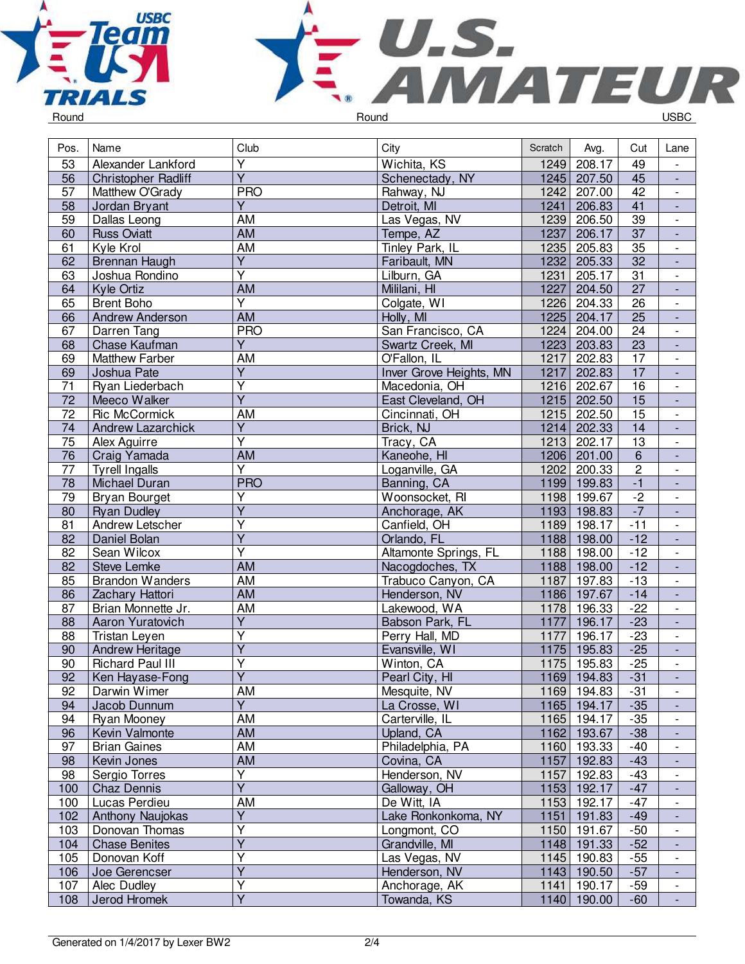



Pos. Name Club Club Club City City Scratch Avg. Cut Lane 53 Alexander Lankford Y 1249 208.17 1249 208.17 1249 208.17 1249 208.17 1249 208.17 1249 208.17 1249 208.17 1249 207.50 1245 - 56 Christopher Radliff<br>57 Matthew O'Grady Y Schenectady, NY 1245 207.50 45<br>PRO Rahway, NJ 1242 207.00 42 - Matthew O'Grady PRO Rahway, N.<br>
Jordan Brvant V Y Detroit. MI - 58 Jordan Bryant<br>59 Dallas Leong V Detroit, MI 1241 206.83 41<br>AM Las Vegas, NV 1239 206.50 39 - 59 Dallas Leong AM Las Vegas, NV 1239 206.50 39 - 60 Russ Oviatt AM AM Tempe, AZ 1237 206.17 - 61 Kyle Krol AM Tinley Park, IL 1235 205.83 35 - 62 Brennan Haugh<br>63 Joshua Rondino V Faribault, MN 1232 205.33 32<br>V Lilburn, GA 1231 205.17 31 - Joshua Rondino<br>Kyle Ortiz V Lilburn, GA 1231 205.17 31<br>AM Mililani, HI 1227 204.50 27 - 64 Kyle Ortiz AM Mililani, HI 1227 204.50 27 - 65 Brent Boho V Colgate, WI 1226 204.33 26<br>AM Holly, MI 1225 204.17 25 er Andrew Anderson Martin AM Holly, MI 1225 204.17 25<br>
67 Darren Tang PRO San Francisco. CA 1224 204.00 24 - 67 Darren Tang PRO San Francisco, CA 1224 204.00 24 - **Chase Kaufman** Y Swartz Creek, MI 1223 203.83 23<br>AM O'Fallon, IL 1217 202.83 17 - 69 Matthew Farber AM O'Fallon, IL 1217 202.83<br>69 Joshua Pate Y Hover Grove Heights, MN 1217 202.83 - 69 Joshua Pate **Y Inver Grove Heights, MN** 1217 202.83 17 - 71 Ryan Liederbach<br>72 Meeco Walker Y 1216 202.67 16<br>
Y East Cleveland, OH 1215 202.50 15 - 72 Meeco Walker<br>72 Ric McCormick Y **East Cleveland, OH** 1215 202.50 15<br>AM Cincinnati, OH 1215 202.50 15 - 72 Ric McCormick AM Cincinnati, OH 1215 202.50 15 - 74 Andrew Lazarchick<br>75 Alex Aguirre Y Prick, NJ 1214 202.33 14<br>Y Tracy, CA 1213 202.17 13 - Alex Aguirre V Tracy, CA 1213 202.17<br>AM Kaneohe, HI 1206 201.00 - 19 | Craig Yamada | AM | Kaneohe, HI | 1206 201.00<br>1202 | Tyrell Ingalls | Y | Loganville, GA | 1202 200.33 6 - 77 Tyrell Ingalls<br>78 Michael Dura Y Loganville, GA 1202 200.33<br>PRO Banning, CA 1199 199.83  $\frac{2}{1}$ - 18 Michael Duran PRO PRO Banning, CA 1199 199.83 -1<br>
29 Bryan Bourget Y Woonsocket, RI 1198 199.67 -2 - 79 Bryan Bourget<br>80 Ryan Dudley V Noonsocket, RI 1198 199.67 -2<br>V Anchorage. AK 1193 198.83 -7 - **Ryan Dudley** Y | Anchorage, AK | 1193 | 198.83<br>Y | Canfield. OH | 1189 | 198.17 - 81 Andrew Letscher<br>82 Daniel Bolan Y Canfield, OH 1189 198.17 -11<br>Y Crlando, FL 1188 198.00 -12 - Daniel Bolan Y Orlando, FL 1188 198.00 -12 - 82 Sean Wilcox<br>82 Steve Lemke V Altamonte Springs, FL 1188 198.00 -12<br>AM Nacogdoches, TX 1188 198.00 -12 - 82 Steve Lemke AM Nacogdoches, TX 1188 198.00 -12<br>85 Brandon Wanders AM Trabuco Canyon, CA 1187 197.83 -13 - Brandon Wanders AM Trabuco Canyon, CA 1187 197.83 - 86 Zachary Hattori AM Henderson, NV 1186 197.67 -14 - 87 Brian Monnette Jr. (Martin Lakewood, WA 1178 196.33 - 22<br>88 Aaron Yuratovich (Y Babson Park, FL 1177 196.17 - 23 - 88 Aaron Yuratovich<br>88 Tristan Leven V Babson Park, FL 1177 196.17 -23<br>V Perry Hall, MD 1177 196.17 -23 - **Tristan Leven** Y Perry Hall, MD 1177 196.17 -23<br>
Y Evansville, WI 1175 195.83 -25 - 90 Andrew Heritage<br>90 Richard Paul III Y Samsville, WI 1175 195.83 -25<br>
Y Winton, CA 1175 195.83 -25 - **Richard Paul III** V 1175 195.83 -25<br>
Y Pearl City, HI 1169 194.83 -31 - 92 | Ken Hayase-Fong Y Pearl City, HI 1169 194.83 -31 - 92 Darwin Wimer AM Mesquite, NV 1169 194.83 -31 - 94 Jacob Dunnum<br>94 Ryan Mooney Y La Crosse, WI 1165 194.17 -35<br>AM Carterville. IL 1165 194.17 -35 - Pan Mooney AM Carterville, I<br>
1941 - Kevin Valmonte AM CAM Doland, CA - 96 Kevin Valmonte – AM Vilhand, CA 1162 193.67 -38<br>97 Brian Gaines – AM Philadelphia, PA 1160 193.33 -40 - 97 Brian Gaines MM AM Philadelphia, PA 1160 193.33 -40<br>98 Kevin Jones AM Covina, CA 1157 192.83 -43 - 98 Kevin Jones AM Covina, CA 1157 192.83 -43 - 98 Sergio Torres<br>100 Chaz Dennis Y Henderson, NV 1157 192.83 -43 - 100 Chaz Dennis<br>100 Lucas Perdie Y Galloway, OH 1153 192.17 -47<br>AM De Witt, IA 1153 192.17 -47 - 100 Lucas Perdieu AM De Witt, IA 1153 192.17 -47 - 102 | Anthony Naujokas Y 1151 191.83 -49<br>
Y Longmont, CO 1150 191.67 -50 - 103 Donovan Thomas<br>104 Chase Benites Y Congmont, CO 1150 191.67 -50<br>
Y Grandville, MI 1148 191.33 -52 - 104 Chase Benites<br>105 Donovan Koff V Grandville, MI 1148 191.33 -52<br>
V Las Vegas, NV 1145 190.83 -55 - Donovan Koff Y Las Vegas, NV 1145 190.83 -55<br>Y Henderson, NV 1143 190.50 -57 - 106 Joe Gerencser Y 1143 190.50 -57<br>
Y Anchorage, AK 1141 190.17 -59 - 107 Alec Dudley Y Anchorage, AK<br>1141 - Towanda, KS - 108 Jerod Hromek Towanda, KS 1140 190.00 -60 -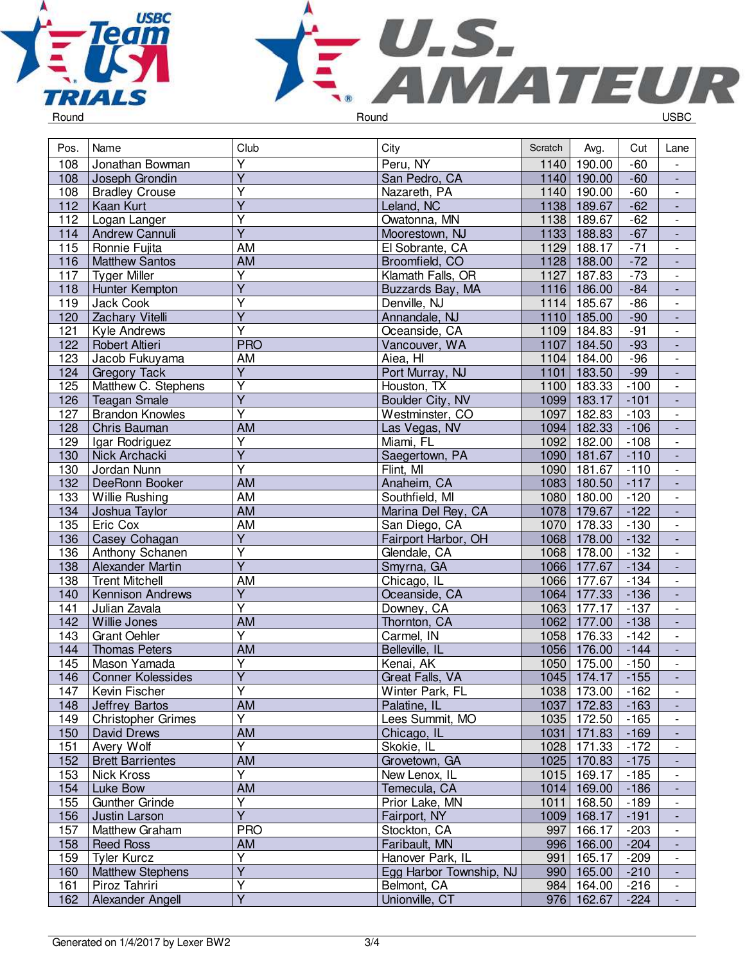



| Pos.       | Name                              | Club                    | City                           | Scratch | Avg.                     | Cut              | Lane                     |
|------------|-----------------------------------|-------------------------|--------------------------------|---------|--------------------------|------------------|--------------------------|
| 108        | Jonathan Bowman                   | $\overline{\mathsf{Y}}$ | Peru, NY                       | 1140    | 190.00                   | $-60$            | $\overline{\phantom{a}}$ |
| 108        | Joseph Grondin                    | $\overline{Y}$          | San Pedro, CA                  |         | 1140 190.00              | $-60$            | $\blacksquare$           |
| 108        | <b>Bradley Crouse</b>             | Υ                       | Nazareth, PA                   |         | 1140 190.00              | $-60$            | $\overline{\phantom{a}}$ |
| 112        | <b>Kaan Kurt</b>                  | $\overline{Y}$          | Leland, NC                     |         | 1138 189.67              | $-62$            | $\overline{\phantom{a}}$ |
| 112        | Logan Langer                      | $\overline{\mathsf{Y}}$ | Owatonna, MN                   |         | 1138 189.67              | $-62$            | $\overline{\phantom{a}}$ |
| 114        | Andrew Cannuli                    | $\overline{Y}$          | Moorestown, NJ                 |         | 1133 188.83              | $-67$            | $\blacksquare$           |
| 115        | Ronnie Fujita                     | <b>AM</b>               | El Sobrante, CA                | 1129    | 188.17                   | $-71$            | $\overline{\phantom{a}}$ |
| 116        | <b>Matthew Santos</b>             | <b>AM</b>               | Broomfield, CO                 |         | 1128 188.00              | $-72$            | $\blacksquare$           |
| 117        | <b>Tyger Miller</b>               | $\overline{\mathsf{Y}}$ | Klamath Falls, OR              | 1127    | 187.83                   | $-73$            | $\blacksquare$           |
| 118        | Hunter Kempton                    | $\overline{Y}$          | Buzzards Bay, MA               |         | 1116 186.00              | $-84$            | $\Box$                   |
| 119        | Jack Cook                         | Y                       | Denville, NJ                   |         | 1114 185.67              | $-86$            | $\overline{\phantom{a}}$ |
| 120        | Zachary Vitelli                   | $\overline{Y}$          | Annandale, NJ                  |         | 1110 185.00              | $-90$            | $\blacksquare$           |
| 121        | Kyle Andrews                      | Υ                       | Oceanside, CA                  | 1109    | 184.83                   | $-91$            | $\overline{\phantom{a}}$ |
| 122        | Robert Altieri                    | <b>PRO</b>              | Vancouver, WA                  | 1107    | 184.50                   | $-93$            |                          |
| 123        | Jacob Fukuyama                    | <b>AM</b>               | Aiea, HI                       | 1104    | 184.00                   | $-96$            | $\overline{\phantom{a}}$ |
| 124        | <b>Gregory Tack</b>               | $\overline{Y}$          | Port Murray, NJ                | 1101    | 183.50                   | $-99$            | $\blacksquare$           |
| 125        | Matthew C. Stephens               | $\overline{Y}$          | Houston, TX                    | 1100    | 183.33                   | $-100$           | $\overline{\phantom{a}}$ |
| 126        | <b>Teagan Smale</b>               | $\overline{\mathsf{Y}}$ | Boulder City, NV               |         | 1099 183.17              | $-101$           | $\Box$                   |
| 127        | <b>Brandon Knowles</b>            | $\overline{\mathsf{Y}}$ | Westminster, CO                | 1097    | 182.83                   | $-103$           | $\blacksquare$           |
| 128        | Chris Bauman                      | <b>AM</b>               | Las Vegas, NV                  |         | 1094 182.33              | $-106$           | $\Box$                   |
| 129        | Igar Rodriguez                    | $\overline{Y}$          | Miami, FL                      | 1092    | 182.00                   | $-108$           | $\overline{\phantom{a}}$ |
| 130        | Nick Archacki                     | $\overline{\mathsf{Y}}$ | Saegertown, PA                 |         | 1090 181.67              | $-110$           | $\blacksquare$           |
| 130        | Jordan Nunn                       | $\overline{\mathsf{Y}}$ | Flint, MI                      | 1090    | 181.67                   | $-110$           | $\overline{\phantom{a}}$ |
| 132        | DeeRonn Booker                    | $\overline{AM}$         | Anaheim, CA                    |         | 1083 180.50              | $-117$           | $\overline{\phantom{a}}$ |
| 133        | Willie Rushing                    | <b>AM</b>               | Southfield, MI                 | 1080    | 180.00                   | $-120$           | $\overline{\phantom{a}}$ |
| 134        | Joshua Taylor                     | <b>AM</b>               | Marina Del Rey, CA             |         | 1078 179.67              | $-122$           | $\blacksquare$           |
| 135        | Eric Cox                          | <b>AM</b>               | San Diego, CA                  | 1070    | 178.33                   | $-130$           | $\overline{\phantom{a}}$ |
| 136        | Casey Cohagan                     | $\overline{Y}$          | Fairport Harbor, OH            |         | 1068 178.00              | $-132$           | $\overline{\phantom{a}}$ |
| 136        | Anthony Schanen                   | $\overline{\mathsf{Y}}$ | Glendale, CA                   | 1068    | 178.00                   | $-132$           | $\overline{\phantom{a}}$ |
| 138        | Alexander Martin                  | $\overline{Y}$          | Smyrna, GA                     |         | 1066 177.67              | $-134$           | ÷,                       |
| 138        | <b>Trent Mitchell</b>             | <b>AM</b>               | Chicago, IL                    | 1066    | 177.67                   | $-134$           | $\overline{\phantom{a}}$ |
| 140        | <b>Kennison Andrews</b>           | $\overline{Y}$          | Oceanside, CA                  | 1064    | 177.33                   | $-136$           | $\blacksquare$           |
| 141        | Julian Zavala                     | $\overline{\mathsf{Y}}$ | Downey, CA                     | 1063    | 177.17                   | $-137$           | $\overline{\phantom{a}}$ |
| 142        | Willie Jones                      | $\overline{AM}$         | Thornton, CA                   | 1062    | 177.00                   | $-138$           | $\overline{\phantom{a}}$ |
| 143        | <b>Grant Oehler</b>               | $\overline{\mathsf{Y}}$ | Carmel, IN                     | 1058    | 176.33                   | $-142$           | $\overline{\phantom{a}}$ |
| 144        | <b>Thomas Peters</b>              | <b>AM</b>               | Belleville, IL                 |         | 1056 176.00              | $-144$           | $\blacksquare$           |
| 145        | Mason Yamada                      | $\overline{\mathsf{Y}}$ | Kenai, AK                      | 1050    | 175.00                   | $-150$           | $\blacksquare$           |
| 146        | <b>Conner Kolessides</b>          | $\overline{Y}$          | Great Falls, VA                |         | 1045 174.17              | $-155$           |                          |
| 147        | Kevin Fischer                     | Υ                       | Winter Park, FL                |         | 1038 173.00              | $-162$           |                          |
| 148        | Jeffrey Bartos                    | AM                      | Palatine, IL                   |         | 1037 172.83              | $-163$           | $\overline{\phantom{a}}$ |
| 149        | <b>Christopher Grimes</b>         | $\overline{Y}$          | Lees Summit, MO                |         | 1035 172.50              | $-165$           | $\overline{\phantom{a}}$ |
| 150        | David Drews                       | AM                      | Chicago, IL                    |         | 1031 171.83              | $-169$           | $\blacksquare$           |
| 151        | Avery Wolf                        | Υ                       | Skokie, IL                     |         | 1028 171.33              | $-172$           | $\overline{\phantom{a}}$ |
| 152        | <b>Brett Barrientes</b>           | AM                      | Grovetown, GA                  |         | 1025 170.83              | $-175$           |                          |
| 153        | Nick Kross                        | Y                       | New Lenox, IL                  |         | 1015 169.17              | $-185$           | $\overline{\phantom{a}}$ |
|            |                                   | AM                      |                                |         |                          |                  |                          |
| 154<br>155 | Luke Bow<br><b>Gunther Grinde</b> | $\overline{\mathsf{Y}}$ | Temecula, CA<br>Prior Lake, MN | 1011    | 1014 169.00<br>168.50    | $-186$<br>$-189$ | $\overline{\phantom{a}}$ |
|            |                                   | Ÿ                       |                                |         |                          | $-191$           |                          |
| 156        | Justin Larson                     | <b>PRO</b>              | Fairport, NY                   |         | 1009 168.17              |                  | $\overline{\phantom{a}}$ |
| 157        | Matthew Graham                    |                         | Stockton, CA                   | 997     | 166.17                   | $-203$           |                          |
| 158        | <b>Reed Ross</b>                  | AM<br>Y                 | Faribault, MN                  |         | 996 166.00               | $-204$           | $\overline{\phantom{a}}$ |
| 159        | <b>Tyler Kurcz</b>                | Y                       | Hanover Park, IL               |         | 991 165.17<br>990 165.00 | $-209$           | $\overline{\phantom{a}}$ |
| 160        | <b>Matthew Stephens</b>           | Υ                       | Egg Harbor Township, NJ        |         |                          | $-210$           | $\blacksquare$           |
| 161        | Piroz Tahriri                     | $\overline{Y}$          | Belmont, CA                    |         | 984 164.00               | $-216$           | $\overline{\phantom{a}}$ |
| 162        | Alexander Angell                  |                         | Unionville, CT                 |         | 976 162.67               | $-224$           | $\blacksquare$           |